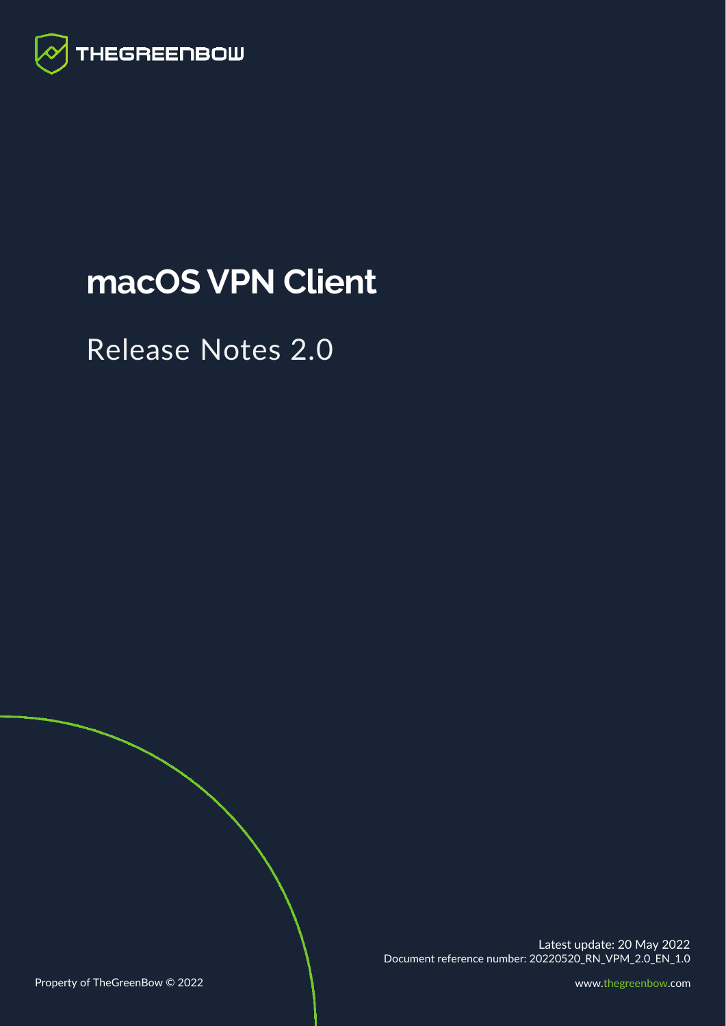

# **macOS VPN Client**

# Release Notes 2.0

Latest update: 20 May 2022 Document reference number: 20220520\_RN\_VPM\_2.0\_EN\_1.0

Property of TheGreenBow © 2022 **[www.thegreenbow.com](http://www.thegreenbow.com/)**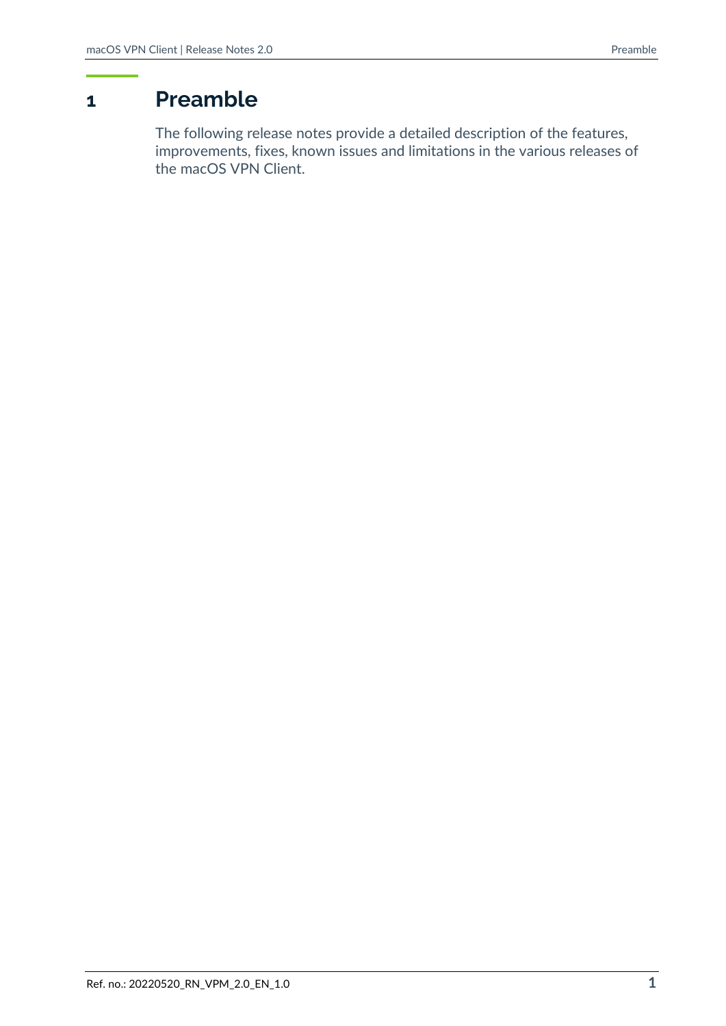# **1 Preamble**

The following release notes provide a detailed description of the features, improvements, fixes, known issues and limitations in the various releases of the macOS VPN Client.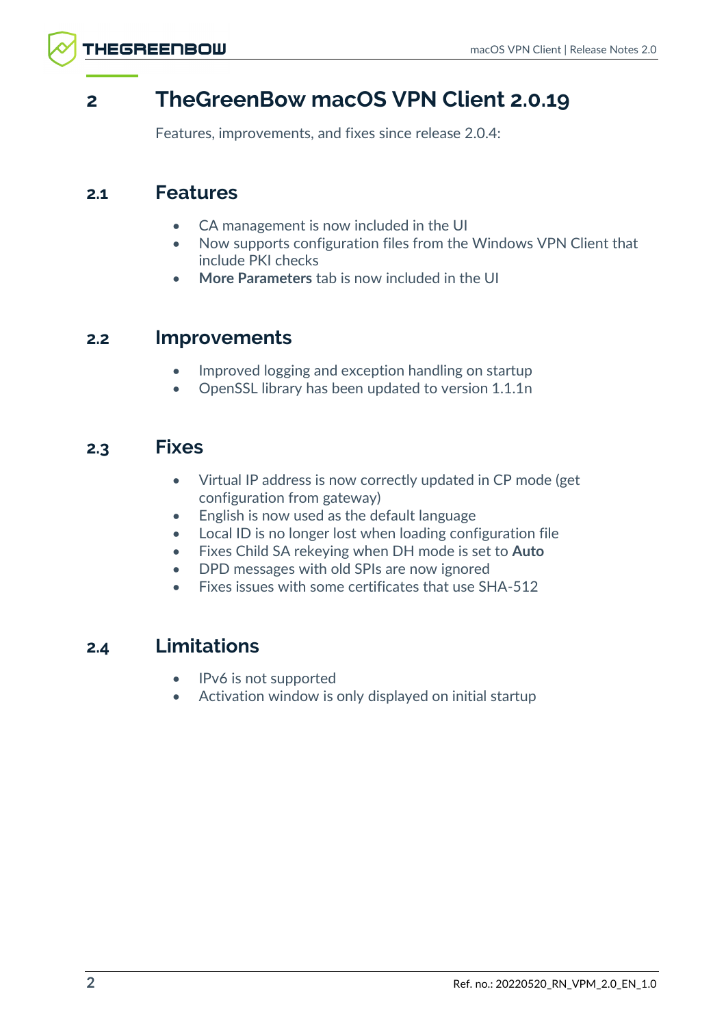# **2 TheGreenBow macOS VPN Client 2.0.19**

Features, improvements, and fixes since release 2.0.4:

## **2.1 Features**

- CA management is now included in the UI
- Now supports configuration files from the Windows VPN Client that include PKI checks
- **More Parameters** tab is now included in the UI

## **2.2 Improvements**

- Improved logging and exception handling on startup
- OpenSSL library has been updated to version 1.1.1n

## **2.3 Fixes**

- Virtual IP address is now correctly updated in CP mode (get configuration from gateway)
- English is now used as the default language
- Local ID is no longer lost when loading configuration file
- Fixes Child SA rekeying when DH mode is set to **Auto**
- DPD messages with old SPIs are now ignored
- Fixes issues with some certificates that use SHA-512

## **2.4 Limitations**

- IPv6 is not supported
- Activation window is only displayed on initial startup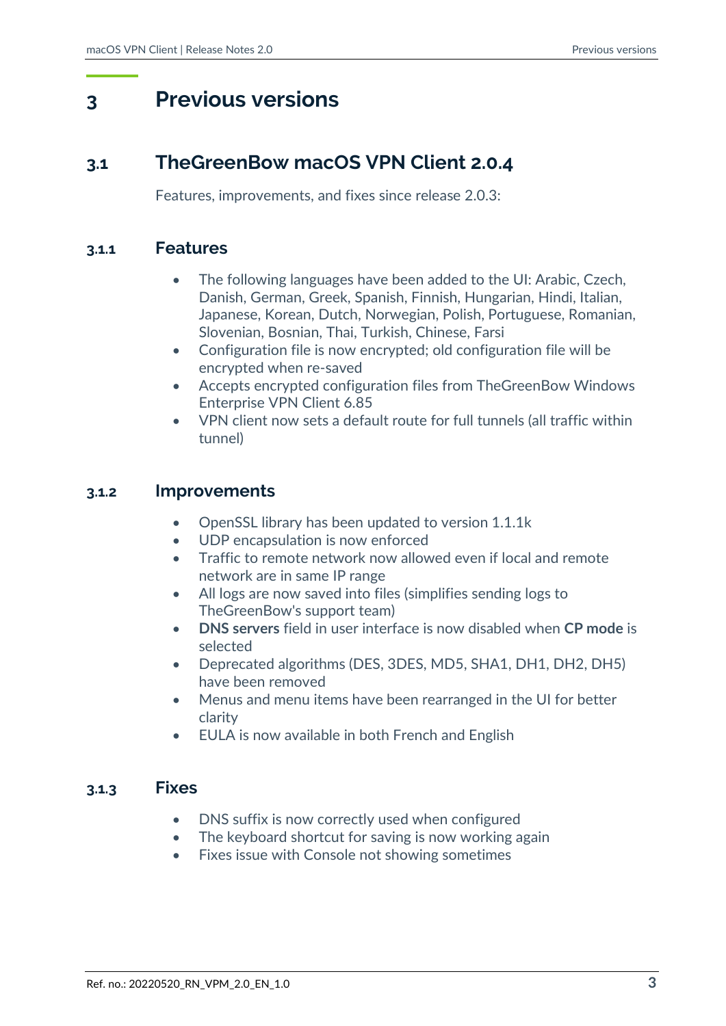# **3 Previous versions**

## **3.1 TheGreenBow macOS VPN Client 2.0.4**

Features, improvements, and fixes since release 2.0.3:

#### **3.1.1 Features**

- The following languages have been added to the UI: Arabic, Czech, Danish, German, Greek, Spanish, Finnish, Hungarian, Hindi, Italian, Japanese, Korean, Dutch, Norwegian, Polish, Portuguese, Romanian, Slovenian, Bosnian, Thai, Turkish, Chinese, Farsi
- Configuration file is now encrypted; old configuration file will be encrypted when re-saved
- Accepts encrypted configuration files from TheGreenBow Windows Enterprise VPN Client 6.85
- VPN client now sets a default route for full tunnels (all traffic within tunnel)

### **3.1.2 Improvements**

- OpenSSL library has been updated to version 1.1.1k
- UDP encapsulation is now enforced
- Traffic to remote network now allowed even if local and remote network are in same IP range
- All logs are now saved into files (simplifies sending logs to TheGreenBow's support team)
- **DNS servers** field in user interface is now disabled when **CP mode** is selected
- Deprecated algorithms (DES, 3DES, MD5, SHA1, DH1, DH2, DH5) have been removed
- Menus and menu items have been rearranged in the UI for better clarity
- EULA is now available in both French and English

#### **3.1.3 Fixes**

- DNS suffix is now correctly used when configured
- The keyboard shortcut for saving is now working again
- Fixes issue with Console not showing sometimes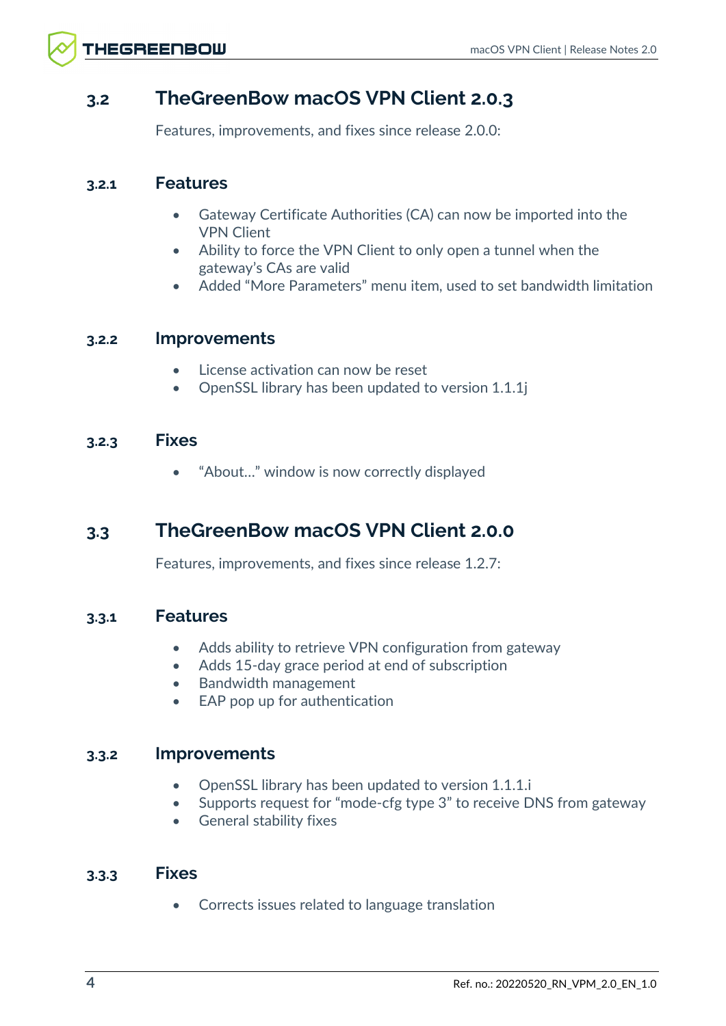## **3.2 TheGreenBow macOS VPN Client 2.0.3**

Features, improvements, and fixes since release 2.0.0:

### **3.2.1 Features**

- Gateway Certificate Authorities (CA) can now be imported into the VPN Client
- Ability to force the VPN Client to only open a tunnel when the gateway's CAs are valid
- Added "More Parameters" menu item, used to set bandwidth limitation

### **3.2.2 Improvements**

- License activation can now be reset
- OpenSSL library has been updated to version 1.1.1j

### **3.2.3 Fixes**

• "About…" window is now correctly displayed

## **3.3 TheGreenBow macOS VPN Client 2.0.0**

Features, improvements, and fixes since release 1.2.7:

### **3.3.1 Features**

- Adds ability to retrieve VPN configuration from gateway
- Adds 15-day grace period at end of subscription
- Bandwidth management
- EAP pop up for authentication

## **3.3.2 Improvements**

- OpenSSL library has been updated to version 1.1.1.i
- Supports request for "mode-cfg type 3" to receive DNS from gateway
- General stability fixes

### **3.3.3 Fixes**

• Corrects issues related to language translation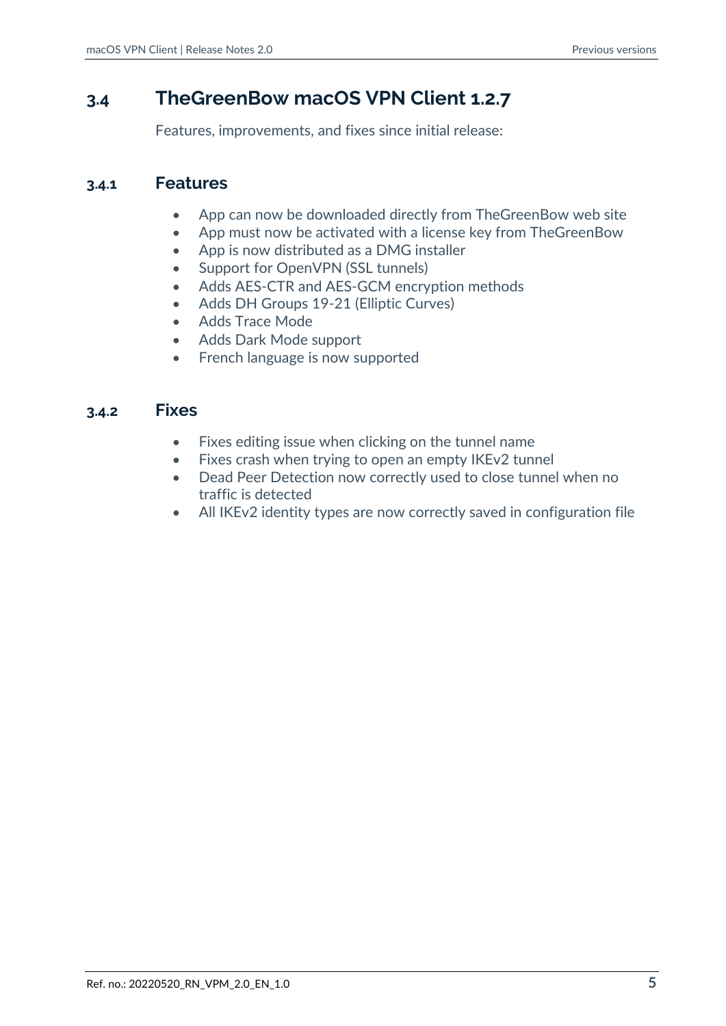## **3.4 TheGreenBow macOS VPN Client 1.2.7**

Features, improvements, and fixes since initial release:

### **3.4.1 Features**

- App can now be downloaded directly from TheGreenBow web site
- App must now be activated with a license key from TheGreenBow
- App is now distributed as a DMG installer
- Support for OpenVPN (SSL tunnels)
- Adds AES-CTR and AES-GCM encryption methods
- Adds DH Groups 19-21 (Elliptic Curves)
- Adds Trace Mode
- Adds Dark Mode support
- French language is now supported

### **3.4.2 Fixes**

- Fixes editing issue when clicking on the tunnel name
- Fixes crash when trying to open an empty IKEv2 tunnel
- Dead Peer Detection now correctly used to close tunnel when no traffic is detected
- All IKEv2 identity types are now correctly saved in configuration file